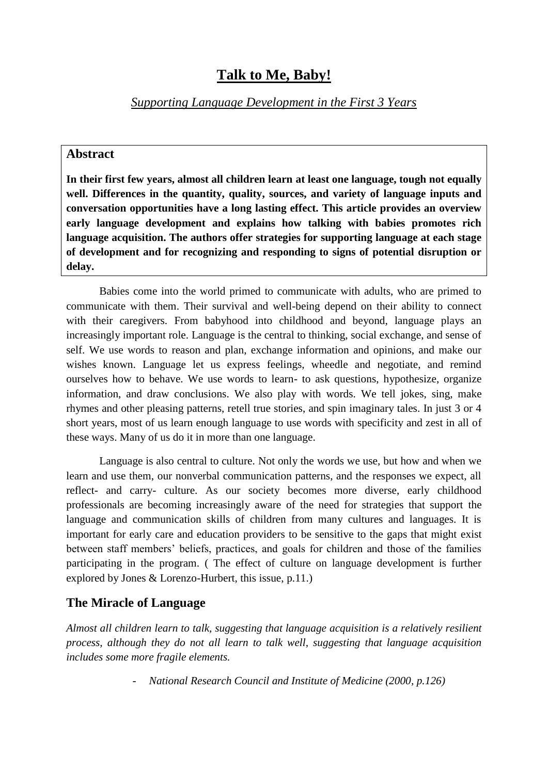# **Talk to Me, Baby!**

*Supporting Language Development in the First 3 Years*

## **Abstract**

**In their first few years, almost all children learn at least one language, tough not equally well. Differences in the quantity, quality, sources, and variety of language inputs and conversation opportunities have a long lasting effect. This article provides an overview early language development and explains how talking with babies promotes rich language acquisition. The authors offer strategies for supporting language at each stage of development and for recognizing and responding to signs of potential disruption or delay.**

Babies come into the world primed to communicate with adults, who are primed to communicate with them. Their survival and well-being depend on their ability to connect with their caregivers. From babyhood into childhood and beyond, language plays an increasingly important role. Language is the central to thinking, social exchange, and sense of self. We use words to reason and plan, exchange information and opinions, and make our wishes known. Language let us express feelings, wheedle and negotiate, and remind ourselves how to behave. We use words to learn- to ask questions, hypothesize, organize information, and draw conclusions. We also play with words. We tell jokes, sing, make rhymes and other pleasing patterns, retell true stories, and spin imaginary tales. In just 3 or 4 short years, most of us learn enough language to use words with specificity and zest in all of these ways. Many of us do it in more than one language.

Language is also central to culture. Not only the words we use, but how and when we learn and use them, our nonverbal communication patterns, and the responses we expect, all reflect- and carry- culture. As our society becomes more diverse, early childhood professionals are becoming increasingly aware of the need for strategies that support the language and communication skills of children from many cultures and languages. It is important for early care and education providers to be sensitive to the gaps that might exist between staff members' beliefs, practices, and goals for children and those of the families participating in the program. ( The effect of culture on language development is further explored by Jones & Lorenzo-Hurbert, this issue, p.11.)

# **The Miracle of Language**

*Almost all children learn to talk, suggesting that language acquisition is a relatively resilient process, although they do not all learn to talk well, suggesting that language acquisition includes some more fragile elements.* 

- *National Research Council and Institute of Medicine (2000, p.126)*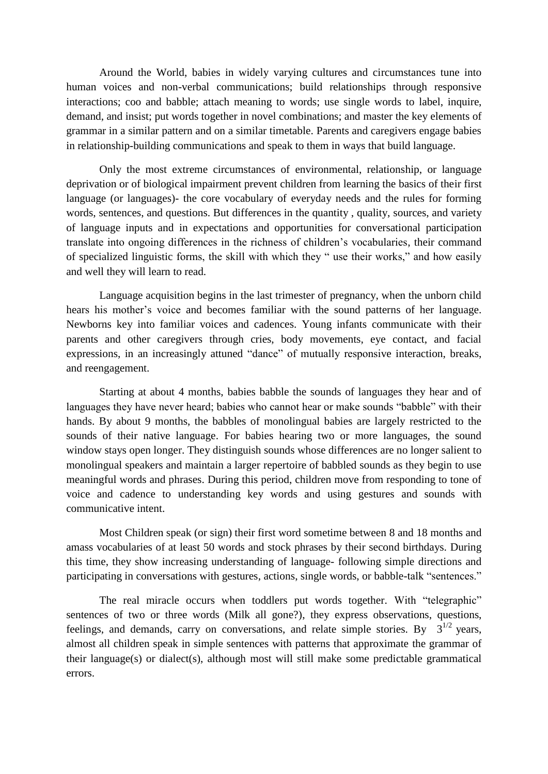Around the World, babies in widely varying cultures and circumstances tune into human voices and non-verbal communications; build relationships through responsive interactions; coo and babble; attach meaning to words; use single words to label, inquire, demand, and insist; put words together in novel combinations; and master the key elements of grammar in a similar pattern and on a similar timetable. Parents and caregivers engage babies in relationship-building communications and speak to them in ways that build language.

Only the most extreme circumstances of environmental, relationship, or language deprivation or of biological impairment prevent children from learning the basics of their first language (or languages)- the core vocabulary of everyday needs and the rules for forming words, sentences, and questions. But differences in the quantity , quality, sources, and variety of language inputs and in expectations and opportunities for conversational participation translate into ongoing differences in the richness of children's vocabularies, their command of specialized linguistic forms, the skill with which they " use their works," and how easily and well they will learn to read.

Language acquisition begins in the last trimester of pregnancy, when the unborn child hears his mother's voice and becomes familiar with the sound patterns of her language. Newborns key into familiar voices and cadences. Young infants communicate with their parents and other caregivers through cries, body movements, eye contact, and facial expressions, in an increasingly attuned "dance" of mutually responsive interaction, breaks, and reengagement.

Starting at about 4 months, babies babble the sounds of languages they hear and of languages they have never heard; babies who cannot hear or make sounds "babble" with their hands. By about 9 months, the babbles of monolingual babies are largely restricted to the sounds of their native language. For babies hearing two or more languages, the sound window stays open longer. They distinguish sounds whose differences are no longer salient to monolingual speakers and maintain a larger repertoire of babbled sounds as they begin to use meaningful words and phrases. During this period, children move from responding to tone of voice and cadence to understanding key words and using gestures and sounds with communicative intent.

Most Children speak (or sign) their first word sometime between 8 and 18 months and amass vocabularies of at least 50 words and stock phrases by their second birthdays. During this time, they show increasing understanding of language- following simple directions and participating in conversations with gestures, actions, single words, or babble-talk "sentences."

The real miracle occurs when toddlers put words together. With "telegraphic" sentences of two or three words (Milk all gone?), they express observations, questions, feelings, and demands, carry on conversations, and relate simple stories. By  $3^{1/2}$  years, almost all children speak in simple sentences with patterns that approximate the grammar of their language(s) or dialect(s), although most will still make some predictable grammatical errors.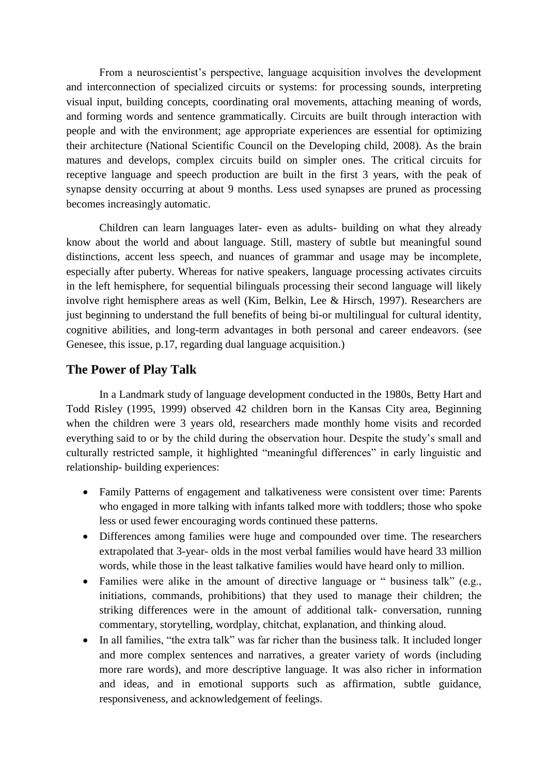From a neuroscientist's perspective, language acquisition involves the development and interconnection of specialized circuits or systems: for processing sounds, interpreting visual input, building concepts, coordinating oral movements, attaching meaning of words, and forming words and sentence grammatically. Circuits are built through interaction with people and with the environment; age appropriate experiences are essential for optimizing their architecture (National Scientific Council on the Developing child, 2008). As the brain matures and develops, complex circuits build on simpler ones. The critical circuits for receptive language and speech production are built in the first 3 years, with the peak of synapse density occurring at about 9 months. Less used synapses are pruned as processing becomes increasingly automatic.

Children can learn languages later- even as adults- building on what they already know about the world and about language. Still, mastery of subtle but meaningful sound distinctions, accent less speech, and nuances of grammar and usage may be incomplete, especially after puberty. Whereas for native speakers, language processing activates circuits in the left hemisphere, for sequential bilinguals processing their second language will likely involve right hemisphere areas as well (Kim, Belkin, Lee & Hirsch, 1997). Researchers are just beginning to understand the full benefits of being bi-or multilingual for cultural identity, cognitive abilities, and long-term advantages in both personal and career endeavors. (see Genesee, this issue, p.17, regarding dual language acquisition.)

#### **The Power of Play Talk**

In a Landmark study of language development conducted in the 1980s, Betty Hart and Todd Risley (1995, 1999) observed 42 children born in the Kansas City area, Beginning when the children were 3 years old, researchers made monthly home visits and recorded everything said to or by the child during the observation hour. Despite the study's small and culturally restricted sample, it highlighted "meaningful differences" in early linguistic and relationship- building experiences:

- Family Patterns of engagement and talkativeness were consistent over time: Parents who engaged in more talking with infants talked more with toddlers; those who spoke less or used fewer encouraging words continued these patterns.
- Differences among families were huge and compounded over time. The researchers extrapolated that 3-year- olds in the most verbal families would have heard 33 million words, while those in the least talkative families would have heard only to million.
- Families were alike in the amount of directive language or " business talk" (e.g., initiations, commands, prohibitions) that they used to manage their children; the striking differences were in the amount of additional talk- conversation, running commentary, storytelling, wordplay, chitchat, explanation, and thinking aloud.
- In all families, "the extra talk" was far richer than the business talk. It included longer and more complex sentences and narratives, a greater variety of words (including more rare words), and more descriptive language. It was also richer in information and ideas, and in emotional supports such as affirmation, subtle guidance, responsiveness, and acknowledgement of feelings.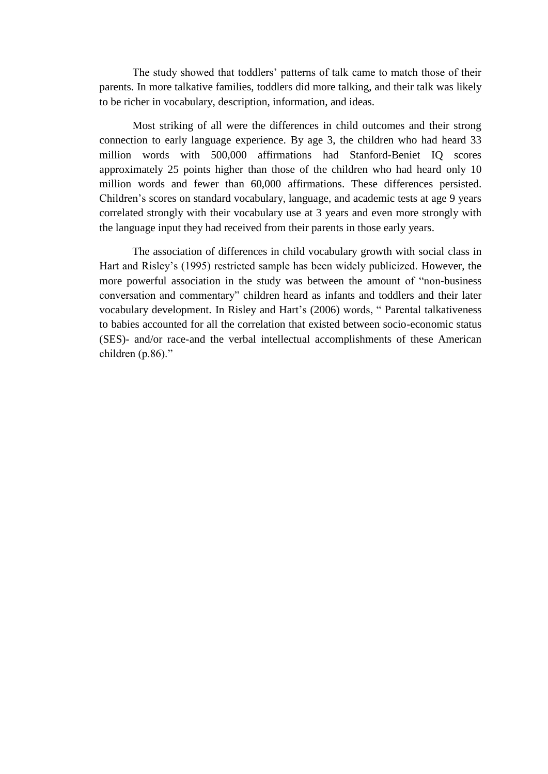The study showed that toddlers' patterns of talk came to match those of their parents. In more talkative families, toddlers did more talking, and their talk was likely to be richer in vocabulary, description, information, and ideas.

Most striking of all were the differences in child outcomes and their strong connection to early language experience. By age 3, the children who had heard 33 million words with 500,000 affirmations had Stanford-Beniet IQ scores approximately 25 points higher than those of the children who had heard only 10 million words and fewer than 60,000 affirmations. These differences persisted. Children's scores on standard vocabulary, language, and academic tests at age 9 years correlated strongly with their vocabulary use at 3 years and even more strongly with the language input they had received from their parents in those early years.

The association of differences in child vocabulary growth with social class in Hart and Risley's (1995) restricted sample has been widely publicized. However, the more powerful association in the study was between the amount of "non-business conversation and commentary" children heard as infants and toddlers and their later vocabulary development. In Risley and Hart's (2006) words, " Parental talkativeness to babies accounted for all the correlation that existed between socio-economic status (SES)- and/or race-and the verbal intellectual accomplishments of these American children (p.86)."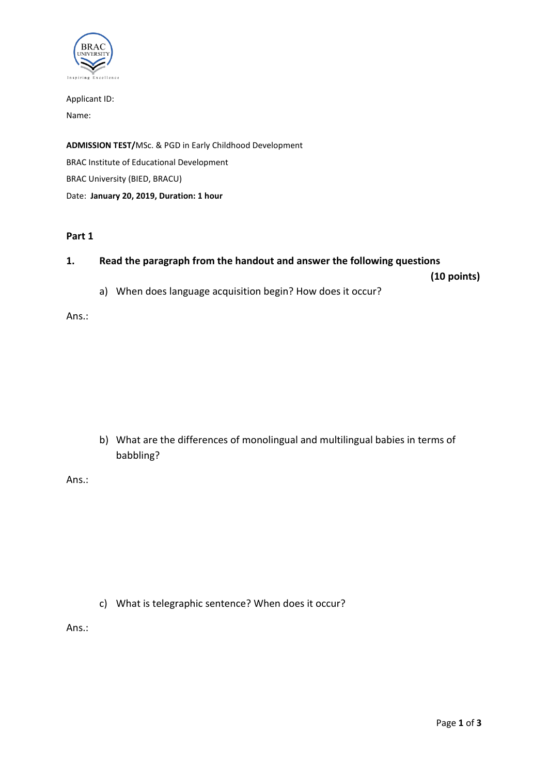

Applicant ID: Name:

**ADMISSION TEST/**MSc. & PGD in Early Childhood Development BRAC Institute of Educational Development BRAC University (BIED, BRACU) Date: **January 20, 2019, Duration: 1 hour**

#### **Part 1**

### **1. Read the paragraph from the handout and answer the following questions**

**(10 points)**

a) When does language acquisition begin? How does it occur?

Ans.:

b) What are the differences of monolingual and multilingual babies in terms of babbling?

Ans.:

c) What is telegraphic sentence? When does it occur?

Ans.: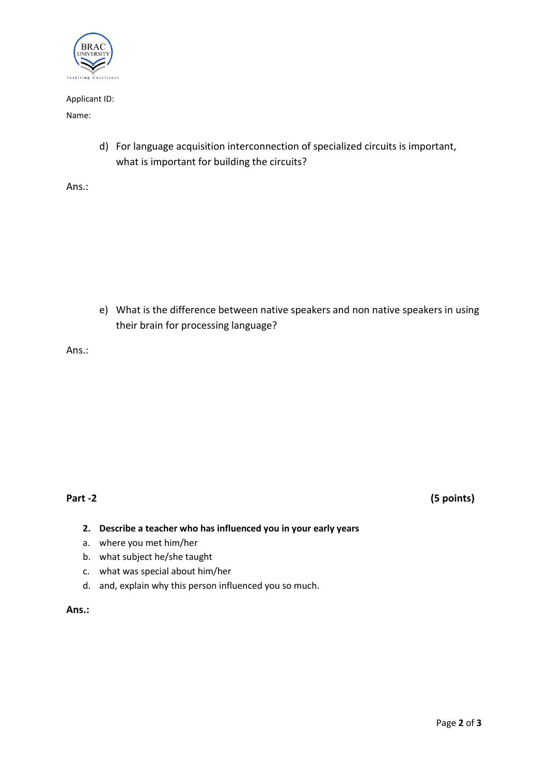

#### Applicant ID:

#### Name:

d) For language acquisition interconnection of specialized circuits is important, what is important for building the circuits?

Ans.:

e) What is the difference between native speakers and non native speakers in using their brain for processing language?

Ans.:

**Part -2 (5 points)**

- **2. Describe a teacher who has influenced you in your early years**
- a. where you met him/her
- b. what subject he/she taught
- c. what was special about him/her
- d. and, explain why this person influenced you so much.

**Ans.:**